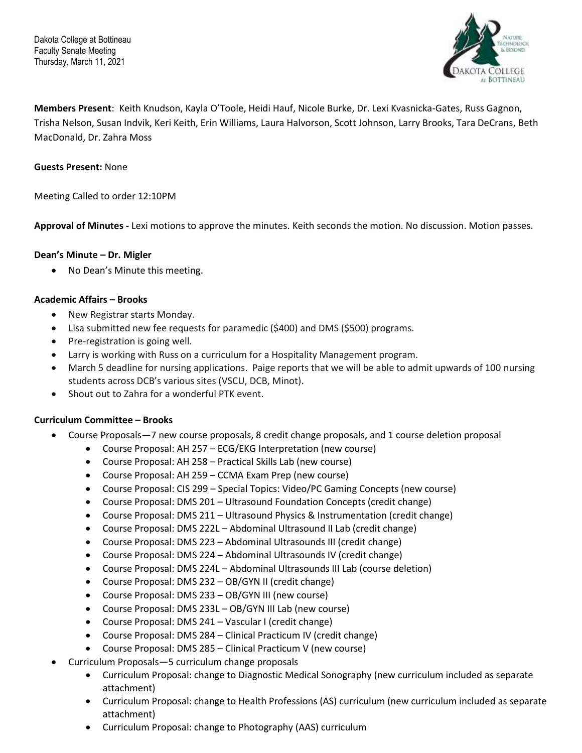Dakota College at Bottineau Faculty Senate Meeting Thursday, March 11, 2021



**Members Present**: Keith Knudson, Kayla O'Toole, Heidi Hauf, Nicole Burke, Dr. Lexi Kvasnicka-Gates, Russ Gagnon, Trisha Nelson, Susan Indvik, Keri Keith, Erin Williams, Laura Halvorson, Scott Johnson, Larry Brooks, Tara DeCrans, Beth MacDonald, Dr. Zahra Moss

### **Guests Present:** None

Meeting Called to order 12:10PM

**Approval of Minutes -** Lexi motions to approve the minutes. Keith seconds the motion. No discussion. Motion passes.

### **Dean's Minute – Dr. Migler**

• No Dean's Minute this meeting.

### **Academic Affairs – Brooks**

- New Registrar starts Monday.
- Lisa submitted new fee requests for paramedic (\$400) and DMS (\$500) programs.
- Pre-registration is going well.
- Larry is working with Russ on a curriculum for a Hospitality Management program.
- March 5 deadline for nursing applications. Paige reports that we will be able to admit upwards of 100 nursing students across DCB's various sites (VSCU, DCB, Minot).
- Shout out to Zahra for a wonderful PTK event.

### **Curriculum Committee – Brooks**

- Course Proposals—7 new course proposals, 8 credit change proposals, and 1 course deletion proposal
	- Course Proposal: AH 257 ECG/EKG Interpretation (new course)
	- Course Proposal: AH 258 Practical Skills Lab (new course)
	- Course Proposal: AH 259 CCMA Exam Prep (new course)
	- Course Proposal: CIS 299 Special Topics: Video/PC Gaming Concepts (new course)
	- Course Proposal: DMS 201 Ultrasound Foundation Concepts (credit change)
	- Course Proposal: DMS 211 Ultrasound Physics & Instrumentation (credit change)
	- Course Proposal: DMS 222L Abdominal Ultrasound II Lab (credit change)
	- Course Proposal: DMS 223 Abdominal Ultrasounds III (credit change)
	- Course Proposal: DMS 224 Abdominal Ultrasounds IV (credit change)
	- Course Proposal: DMS 224L Abdominal Ultrasounds III Lab (course deletion)
	- Course Proposal: DMS 232 OB/GYN II (credit change)
	- Course Proposal: DMS 233 OB/GYN III (new course)
	- Course Proposal: DMS 233L OB/GYN III Lab (new course)
	- Course Proposal: DMS 241 Vascular I (credit change)
	- Course Proposal: DMS 284 Clinical Practicum IV (credit change)
	- Course Proposal: DMS 285 Clinical Practicum V (new course)
- Curriculum Proposals—5 curriculum change proposals
	- Curriculum Proposal: change to Diagnostic Medical Sonography (new curriculum included as separate attachment)
	- Curriculum Proposal: change to Health Professions (AS) curriculum (new curriculum included as separate attachment)
	- Curriculum Proposal: change to Photography (AAS) curriculum